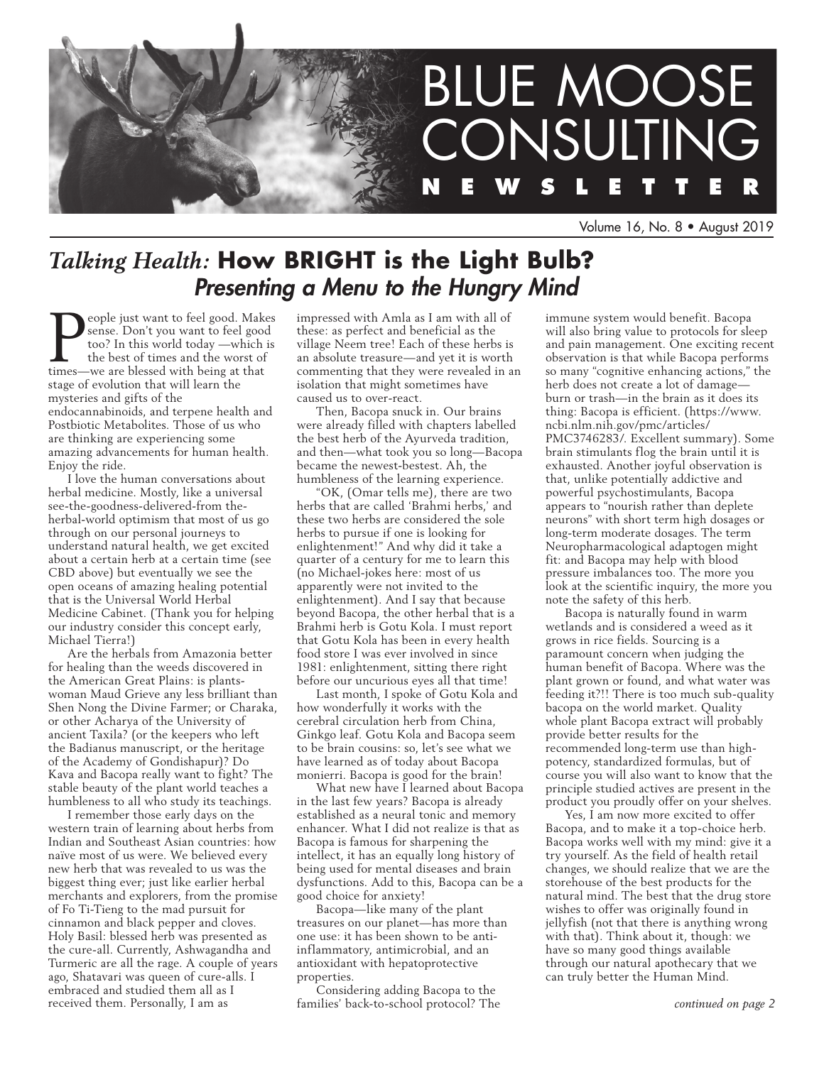

Volume 16, No. 8 • August 2019

# *Talking Health:* **How BRIGHT is the Light Bulb?**  *Presenting a Menu to the Hungry Mind*

**P** sense. Don't you want to feel good. Make<br>too? In this world today —which<br>the best of times and the worst of<br>times—we are blessed with being at that eople just want to feel good. Makes sense. Don't you want to feel good too? In this world today —which is the best of times and the worst of stage of evolution that will learn the mysteries and gifts of the endocannabinoids, and terpene health and Postbiotic Metabolites. Those of us who are thinking are experiencing some amazing advancements for human health. Enjoy the ride.

I love the human conversations about herbal medicine. Mostly, like a universal see-the-goodness-delivered-from theherbal-world optimism that most of us go through on our personal journeys to understand natural health, we get excited about a certain herb at a certain time (see CBD above) but eventually we see the open oceans of amazing healing potential that is the Universal World Herbal Medicine Cabinet. (Thank you for helping our industry consider this concept early, Michael Tierra!)

Are the herbals from Amazonia better for healing than the weeds discovered in the American Great Plains: is plantswoman Maud Grieve any less brilliant than Shen Nong the Divine Farmer; or Charaka, or other Acharya of the University of ancient Taxila? (or the keepers who left the Badianus manuscript, or the heritage of the Academy of Gondishapur)? Do Kava and Bacopa really want to fight? The stable beauty of the plant world teaches a humbleness to all who study its teachings.

I remember those early days on the western train of learning about herbs from Indian and Southeast Asian countries: how naïve most of us were. We believed every new herb that was revealed to us was the biggest thing ever; just like earlier herbal merchants and explorers, from the promise of Fo Ti-Tieng to the mad pursuit for cinnamon and black pepper and cloves. Holy Basil: blessed herb was presented as the cure-all. Currently, Ashwagandha and Turmeric are all the rage. A couple of years ago, Shatavari was queen of cure-alls. I embraced and studied them all as I received them. Personally, I am as

impressed with Amla as I am with all of these: as perfect and beneficial as the village Neem tree! Each of these herbs is an absolute treasure—and yet it is worth commenting that they were revealed in an isolation that might sometimes have caused us to over-react.

Then, Bacopa snuck in. Our brains were already filled with chapters labelled the best herb of the Ayurveda tradition, and then—what took you so long—Bacopa became the newest-bestest. Ah, the humbleness of the learning experience.

"OK, (Omar tells me), there are two herbs that are called 'Brahmi herbs,' and these two herbs are considered the sole herbs to pursue if one is looking for enlightenment!" And why did it take a quarter of a century for me to learn this (no Michael-jokes here: most of us apparently were not invited to the enlightenment). And I say that because beyond Bacopa, the other herbal that is a Brahmi herb is Gotu Kola. I must report that Gotu Kola has been in every health food store I was ever involved in since 1981: enlightenment, sitting there right before our uncurious eyes all that time!

Last month, I spoke of Gotu Kola and how wonderfully it works with the cerebral circulation herb from China, Ginkgo leaf. Gotu Kola and Bacopa seem to be brain cousins: so, let's see what we have learned as of today about Bacopa monierri. Bacopa is good for the brain!

What new have I learned about Bacopa in the last few years? Bacopa is already established as a neural tonic and memory enhancer. What I did not realize is that as Bacopa is famous for sharpening the intellect, it has an equally long history of being used for mental diseases and brain dysfunctions. Add to this, Bacopa can be a good choice for anxiety!

Bacopa—like many of the plant treasures on our planet—has more than one use: it has been shown to be antiinflammatory, antimicrobial, and an antioxidant with hepatoprotective properties.

Considering adding Bacopa to the families' back-to-school protocol? The immune system would benefit. Bacopa will also bring value to protocols for sleep and pain management. One exciting recent observation is that while Bacopa performs so many "cognitive enhancing actions," the herb does not create a lot of damage burn or trash—in the brain as it does its thing: Bacopa is efficient. (https://www. ncbi.nlm.nih.gov/pmc/articles/ PMC3746283/. Excellent summary). Some brain stimulants flog the brain until it is exhausted. Another joyful observation is that, unlike potentially addictive and powerful psychostimulants, Bacopa appears to "nourish rather than deplete neurons" with short term high dosages or long-term moderate dosages. The term Neuropharmacological adaptogen might fit: and Bacopa may help with blood pressure imbalances too. The more you look at the scientific inquiry, the more you note the safety of this herb.

Bacopa is naturally found in warm wetlands and is considered a weed as it grows in rice fields. Sourcing is a paramount concern when judging the human benefit of Bacopa. Where was the plant grown or found, and what water was feeding it?!! There is too much sub-quality bacopa on the world market. Quality whole plant Bacopa extract will probably provide better results for the recommended long-term use than highpotency, standardized formulas, but of course you will also want to know that the principle studied actives are present in the product you proudly offer on your shelves.

Yes, I am now more excited to offer Bacopa, and to make it a top-choice herb. Bacopa works well with my mind: give it a try yourself. As the field of health retail changes, we should realize that we are the storehouse of the best products for the natural mind. The best that the drug store wishes to offer was originally found in jellyfish (not that there is anything wrong with that). Think about it, though: we have so many good things available through our natural apothecary that we can truly better the Human Mind.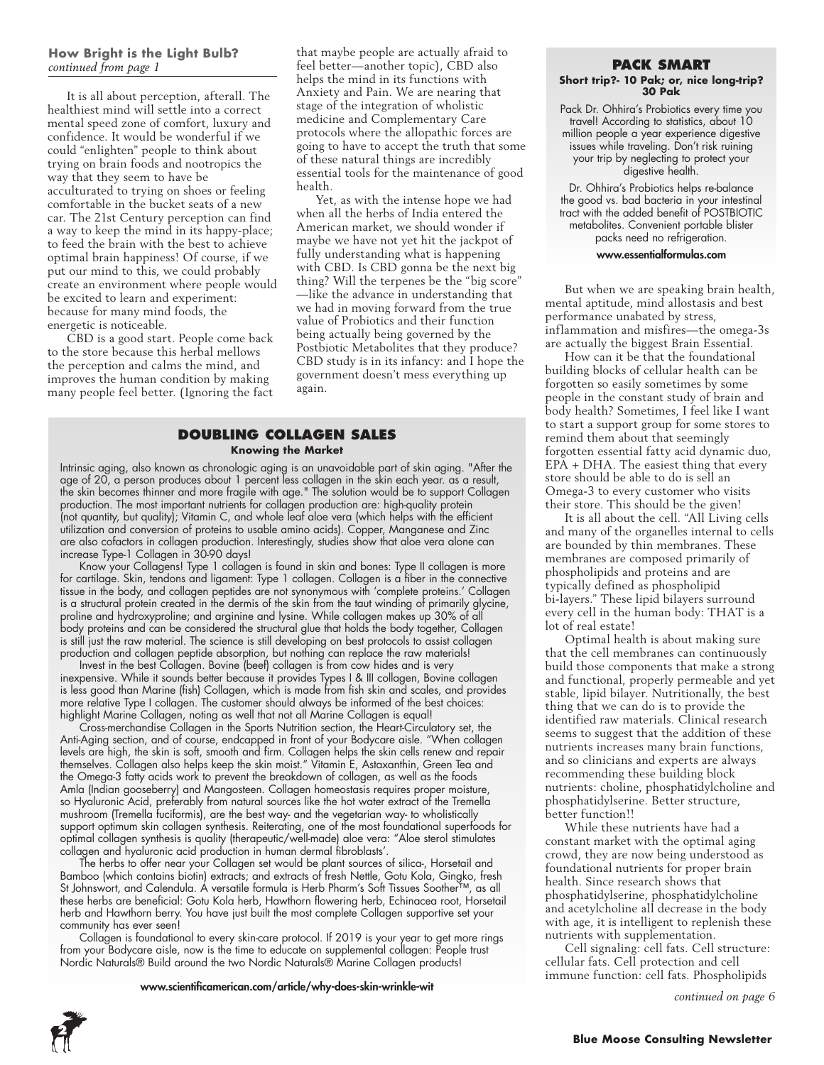## **How Bright is the Light Bulb?**  *continued from page 1*

It is all about perception, afterall. The healthiest mind will settle into a correct mental speed zone of comfort, luxury and confidence. It would be wonderful if we could "enlighten" people to think about trying on brain foods and nootropics the way that they seem to have be acculturated to trying on shoes or feeling comfortable in the bucket seats of a new car. The 21st Century perception can find a way to keep the mind in its happy-place; to feed the brain with the best to achieve optimal brain happiness! Of course, if we put our mind to this, we could probably create an environment where people would be excited to learn and experiment: because for many mind foods, the energetic is noticeable.

CBD is a good start. People come back to the store because this herbal mellows the perception and calms the mind, and improves the human condition by making many people feel better. (Ignoring the fact

that maybe people are actually afraid to feel better—another topic), CBD also helps the mind in its functions with Anxiety and Pain. We are nearing that stage of the integration of wholistic medicine and Complementary Care protocols where the allopathic forces are going to have to accept the truth that some of these natural things are incredibly essential tools for the maintenance of good health.

Yet, as with the intense hope we had when all the herbs of India entered the American market, we should wonder if maybe we have not yet hit the jackpot of fully understanding what is happening with CBD. Is CBD gonna be the next big thing? Will the terpenes be the "big score" —like the advance in understanding that we had in moving forward from the true value of Probiotics and their function being actually being governed by the Postbiotic Metabolites that they produce? CBD study is in its infancy: and I hope the government doesn't mess everything up again.

## **Doubling Collagen Sales Knowing the Market**

Intrinsic aging, also known as chronologic aging is an unavoidable part of skin aging. "After the age of 20, a person produces about 1 percent less collagen in the skin each year. as a result, the skin becomes thinner and more fragile with age." The solution would be to support Collagen production. The most important nutrients for collagen production are: high-quality protein (not quantity, but quality); Vitamin C, and whole leaf aloe vera (which helps with the efficient utilization and conversion of proteins to usable amino acids). Copper, Manganese and Zinc are also cofactors in collagen production. Interestingly, studies show that aloe vera alone can increase Type-1 Collagen in 30-90 days!

Know your Collagens! Type 1 collagen is found in skin and bones: Type II collagen is more for cartilage. Skin, tendons and ligament: Type 1 collagen. Collagen is a fiber in the connective tissue in the body, and collagen peptides are not synonymous with 'complete proteins.' Collagen is a structural protein created in the dermis of the skin from the taut winding of primarily glycine, proline and hydroxyproline; and arginine and lysine. While collagen makes up 30% of all body proteins and can be considered the structural glue that holds the body together, Collagen is still just the raw material. The science is still developing on best protocols to assist collagen production and collagen peptide absorption, but nothing can replace the raw materials!

Invest in the best Collagen. Bovine (beef) collagen is from cow hides and is very inexpensive. While it sounds better because it provides Types I & III collagen, Bovine collagen is less good than Marine (fish) Collagen, which is made from fish skin and scales, and provides more relative Type I collagen. The customer should always be informed of the best choices: highlight Marine Collagen, noting as well that not all Marine Collagen is equal!

Cross-merchandise Collagen in the Sports Nutrition section, the Heart-Circulatory set, the Anti-Aging section, and of course, endcapped in front of your Bodycare aisle. "When collagen levels are high, the skin is soft, smooth and firm. Collagen helps the skin cells renew and repair themselves. Collagen also helps keep the skin moist." Vitamin E, Astaxanthin, Green Tea and the Omega-3 fatty acids work to prevent the breakdown of collagen, as well as the foods Amla (Indian gooseberry) and Mangosteen. Collagen homeostasis requires proper moisture, so Hyaluronic Acid, preferably from natural sources like the hot water extract of the Tremella mushroom (Tremella fuciformis), are the best way- and the vegetarian way- to wholistically support optimum skin collagen synthesis. Reiterating, one of the most foundational superfoods for optimal collagen synthesis is quality (therapeutic/well-made) aloe vera: "Aloe sterol stimulates collagen and hyaluronic acid production in human dermal fibroblasts'.

The herbs to offer near your Collagen set would be plant sources of silica-, Horsetail and Bamboo (which contains biotin) extracts; and extracts of fresh Nettle, Gotu Kola, Gingko, fresh St Johnswort, and Calendula. A versatile formula is Herb Pharm's Soft Tissues Soother™, as all these herbs are beneficial: Gotu Kola herb, Hawthorn flowering herb, Echinacea root, Horsetail herb and Hawthorn berry. You have just built the most complete Collagen supportive set your community has ever seen!

Collagen is foundational to every skin-care protocol. If 2019 is your year to get more rings from your Bodycare aisle, now is the time to educate on supplemental collagen: People trust Nordic Naturals® Build around the two Nordic Naturals® Marine Collagen products!

www.scientificamerican.com/article/why-does-skin-wrinkle-wit

#### **Pack Smart**

#### **Short trip?- 10 Pak; or, nice long-trip? 30 Pak**

Pack Dr. Ohhira's Probiotics every time you travel! According to statistics, about 10 million people a year experience digestive issues while traveling. Don't risk ruining your trip by neglecting to protect your digestive health.

Dr. Ohhira's Probiotics helps re-balance the good vs. bad bacteria in your intestinal tract with the added benefit of POSTBIOTIC metabolites. Convenient portable blister packs need no refrigeration.

#### www.essentialformulas.com

But when we are speaking brain health, mental aptitude, mind allostasis and best performance unabated by stress, inflammation and misfires—the omega-3s are actually the biggest Brain Essential.

How can it be that the foundational building blocks of cellular health can be forgotten so easily sometimes by some people in the constant study of brain and body health? Sometimes, I feel like I want to start a support group for some stores to remind them about that seemingly forgotten essential fatty acid dynamic duo, EPA + DHA. The easiest thing that every store should be able to do is sell an Omega-3 to every customer who visits their store. This should be the given!

It is all about the cell. "All Living cells and many of the organelles internal to cells are bounded by thin membranes. These membranes are composed primarily of phospholipids and proteins and are typically defined as phospholipid bi-layers." These lipid bilayers surround every cell in the human body: THAT is a lot of real estate!

Optimal health is about making sure that the cell membranes can continuously build those components that make a strong and functional, properly permeable and yet stable, lipid bilayer. Nutritionally, the best thing that we can do is to provide the identified raw materials. Clinical research seems to suggest that the addition of these nutrients increases many brain functions, and so clinicians and experts are always recommending these building block nutrients: choline, phosphatidylcholine and phosphatidylserine. Better structure, better function!!

While these nutrients have had a constant market with the optimal aging crowd, they are now being understood as foundational nutrients for proper brain health. Since research shows that phosphatidylserine, phosphatidylcholine and acetylcholine all decrease in the body with age, it is intelligent to replenish these nutrients with supplementation.

Cell signaling: cell fats. Cell structure: cellular fats. Cell protection and cell immune function: cell fats. Phospholipids

*continued on page 6*

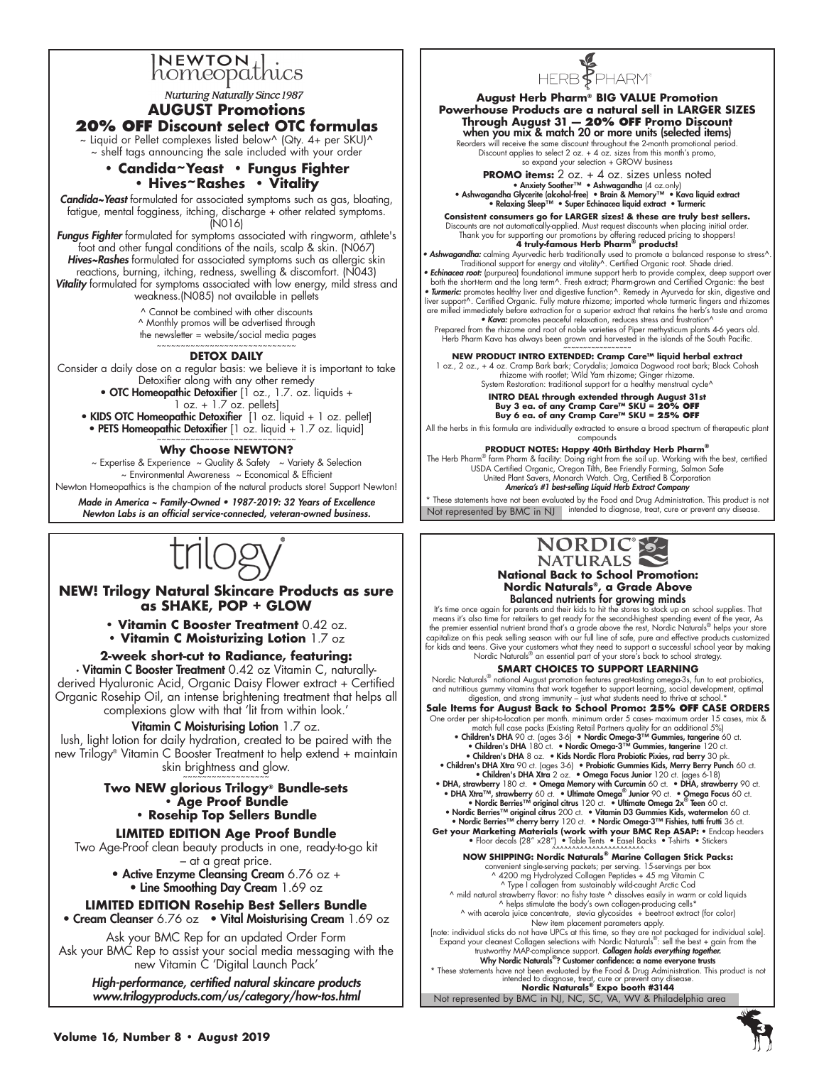

**Nurturing Naturally Since 1987** 

## **AUGUST Promotions 20% off Discount select OTC formulas** ~ Liquid or Pellet complexes listed below^ (Qty. 4+ per SKU)^ ~ shelf tags announcing the sale included with your order

## **• Candida~Yeast • Fungus Fighter • Hives~Rashes • Vitality**

*Candida~Yeast* formulated for associated symptoms such as gas, bloating, fatigue, mental fogginess, itching, discharge + other related symptoms. (N016)

*Fungus Fighter* formulated for symptoms associated with ringworm, athlete's foot and other fungal conditions of the nails, scalp & skin. (N067) *Hives~Rashes* formulated for associated symptoms such as allergic skin reactions, burning, itching, redness, swelling & discomfort. (N043) *Vitality* formulated for symptoms associated with low energy, mild stress and weakness.(N085) not available in pellets

Cannot be combined with other discounts

^ Monthly promos will be advertised through

 the newsletter = website/social media pages ~~~~~~~~~~~~~~~~~~~~~~~~~

#### **DETOX DAILY**

Consider a daily dose on a regular basis: we believe it is important to take Detoxifier along with any other remedy

• OTC Homeopathic Detoxifier [1 oz., 1.7. oz. liquids + 1 oz. + 1.7 oz. pellets]

- KIDS OTC Homeopathic Detoxifier [1 oz. liquid + 1 oz. pellet]
- PETS Homeopathic Detoxifier [1 oz. liquid + 1.7 oz. liquid]

~~~~~~~~~~~~~~~~~~~~~~~~~ **Why Choose NEWTON?**

~ Expertise & Experience ~ Quality & Safety ~ Variety & Selection ~ Environmental Awareness ~ Economical & Efficient Newton Homeopathics is the champion of the natural products store! Support Newton!

Made in America ~ Family-Owned • 1987-2019: 32 Years of Excellence

Newton Labs is an official service-connected, veteran-owned business.



**NEW! Trilogy Natural Skincare Products as sure as SHAKE, POP + GLOW**

**• Vitamin C Booster Treatment** 0.42 oz.

**• Vitamin C Moisturizing Lotion** 1.7 oz

## **2-week short-cut to Radiance, featuring:**

• Vitamin C Booster Treatment 0.42 oz Vitamin C, naturallyderived Hyaluronic Acid, Organic Daisy Flower extract + Certified Organic Rosehip Oil, an intense brightening treatment that helps all complexions glow with that 'lit from within look.'

#### Vitamin C Moisturising Lotion 1.7 oz.

lush, light lotion for daily hydration, created to be paired with the new Trilogy® Vitamin C Booster Treatment to help extend + maintain skin brightness and glow.

#### **Two NEW glorious Trilogy® Bundle-sets • Age Proof Bundle • Rosehip Top Sellers Bundle**

## **LIMITED EDITION Age Proof Bundle**

Two Age-Proof clean beauty products in one, ready-to-go kit

- at a great price. • Active Enzyme Cleansing Cream 6.76 oz +
- Line Smoothing Day Cream 1.69 oz

## **LIMITED EDITION Rosehip Best Sellers Bundle**

• Cream Cleanser 6.76 oz • Vital Moisturising Cream 1.69 oz

Ask your BMC Rep for an updated Order Form Ask your BMC Rep to assist your social media messaging with the new Vitamin C 'Digital Launch Pack'

High-performance, certified natural skincare products www.trilogyproducts.com/us/category/how-tos.html Not represented by BMC in NJ, NC, SC, VA, WV & Philadelphia area **Nordic Naturals® Expo booth #3144**



**August Herb Pharm® BIG VALUE Promotion Powerhouse Products are a natural sell in LARGER SIZES Through August 31 — 20% OFF Promo Discount** when you mix & match 20 or more units (selected items)

Reorders will receive the same discount throughout the 2-month promotional period. Discount applies to select 2 oz. + 4 oz. sizes from this month's promo, so expand your selection + GROW business

**PROMO items:**  $2 \circ z$ .  $+ 4 \circ z$ . sizes unless noted<br>• Anxiety Soother™ • Ashwagandha (4 oz.only)<br>• Ashwagandha Gycerite (alcohol-free) • Brain & Memory™ • Kava liquid extract<br>• Relaxing Sleep™ • Super Echinacea liquid ext

**Consistent consumers go for LARGER sizes! & these are truly best sellers.**

Discounts are not automatically-applied. Must request discounts when placing initial order.<br>Thank you for supporting our promotions by offering reduced pricing to shoppers!<br>• **Ashwagandha:** calming A**yurvedic herb traditio** • Echinacea root: (purpurea) foundational immune support herb to provide complex, deep support over<br>both the short-term and the long term^. Fresh extract; Pharm-grown and Ceritfied Organic: the best<br>• Turmeric: promotes he liver support^. Certified Organic. Fully mature rhizome; imported whole turmeric fingers and rhizomes are milled immediately before extraction for a superior extract that retains the herb's taste and aroma<br>• **Kava:** promotes peaceful relaxation, reduces stress and frustration^

Prepared from the rhizome and root of noble varieties of Piper methysticum plants 4-6 years old. Herb Pharm Kava has always been grown and harvested in the islands of the South Pacific.

~~~~~~~~~~~~~~~~~ **NEW PRODUCT INTRO EXTENDED: Cramp Care™ liquid herbal extract**

1 oz., 2 oz., + 4 oz. Cramp Bark bark; Corydalis; Jamaica Dogwood root bark; Black Cohosh<br>hizome with rootlet; Wild Yam rhizome; cinger rhizome.<br>System Restoration: traditional support for a healthy menstrual cycle^

**INTRO DEAL through extended through August 31st** Buy 3 ea. of any Cramp Care™ SKU = **20% O**<br>Buy 6 ea. of any Cramp Care™ SKU = **25% O** 

All the herbs in this formula are individually extracted to ensure a broad spectrum of therapeutic plant compounds

**PRODUCT NOTES: Happy 40th Birthday Herb Pharm®**

The Herb Pharm® farm Pharm & facility: Doing right from the soil up. Working with the best, certified USDA Certified Organic, Oregon Tilth, Bee Friendly Farming, Salmon Safe United Plant Savers, Monarch Watch. Org, Certified B Corporation<br>**America's #1 best-selling Liquid Herb Extract Company** 

\* These statements have not been evaluated by the Food and Drug Administration. This product is not Not represented by BMC in NJ intended to diagnose, treat, cure or prevent any disease



#### **National Back to School Promotion: Nordic Naturals®, a Grade Above** Balanced nutrients for growing minds

It's time once again for parents and their kids to hit the stores to stock up on school supplies. That means it's also time for retailers to get ready for the second-highest spending event of the year, As the premier essential nutrient brand that's a grade above the rest, Nordic Naturals® helps your store capitalize on this peak selling season with our full line of safe, pure and effective products customized<br>for kids and t Nordic Naturals® an essential part of your store's back to school strategy.

#### **SMART CHOICES TO SUPPORT LEARNING**

Nordic Naturals® national August promotion features great-tasting omega-3s, fun to eat probiotics,<br>and nutritious gummy vitamins that work together to support learning, social development, optimal digestion, and strong immunity – just what students need to thrive at school.\*

**Sale Items for August Back to School Promo: 25% OFF CASE ORDERS**  One order per ship-to-location per month. minimum order 5 cases- maximum order 15 cases, mix &

match full case packs (Existing Retail Partners quality for an additional 5%)<br>• Ch**ildren's DHA** 90 ct. (ages 3-6) • Nordic Omega-3™ Gummies, tangerine 60 ct.<br>• Chi**ldren's DHA** 180 ct. • Nordic Omega-3™ Gummies, tangerine • Children's DHA 8 oz. • Kids Nordic Flora Probiotic Pixies, rad berry 30 pk

• Children's DHA Xtra 90 ct. (ages 3-6) • Probiotic Gummies Kids, Merry Berry Punch 60 ct. • Children's DHA Xtra 2 oz. • Omega Focus Junior 120 ct. (ages 6-18)

• DHA, strawberry 180 ct. • Omega Memory with Curcumin 60 ct. • DHA, strawberry 90 ct.<br>• DHA Xtra™, strawberry 60 ct. • Ultimate Omega® Junior 90 ct. • Omega Focus 60 ct.<br>• Nordic Berries™ original citrus 120 ct. • Ultima

• Nordic Berries<sup>TM</sup> original citrus 200 ct. • Vitamin D3 Gummies Kids, watermelon 60 ct.<br>• Nordic Berries<sup>TM</sup> cherry berry 120 ct. • Nordic Omega-3<sup>TM</sup> Fishies, tutti frutti 36 ct.<br>**Get your Marketing Materials (work with** 

**NOW SHIPPING: Nordic Naturals® Marine Collagen Stick Packs:** 

convenient single-serving packets; per serving. 15-servings per box ^ 4200 mg Hydrolyzed Collagen Peptides + 45 mg Vitamin C

^ Type I collagen from sustainably wild-caught Arctic Cod ^ mild natural strawberry flavor: no fishy taste ^ dissolves easily in warm or cold liquids ^ helps stimulate the body's own collagen-producing cells\*

^ with acerola juice concentrate, stevia glycosides + beetroot extract (for color) New item placement parameters apply.

[note: individual sticks do not have UPCs at this time, so they are not packaged for individual sale]. Expand your cleanest Collagen selections with Nordic Naturals®: sell the best + gain from the trustworthy MAP-compliance support. **Collagen holds everything together.**<br>W**hy Nordic Naturals®? Customer confidence: a name everyone trusts** 

## \* These statements have not been evaluated by the Food & Drug Administration. This product is not intended to diagnose, treat, cure or prevent any disease.

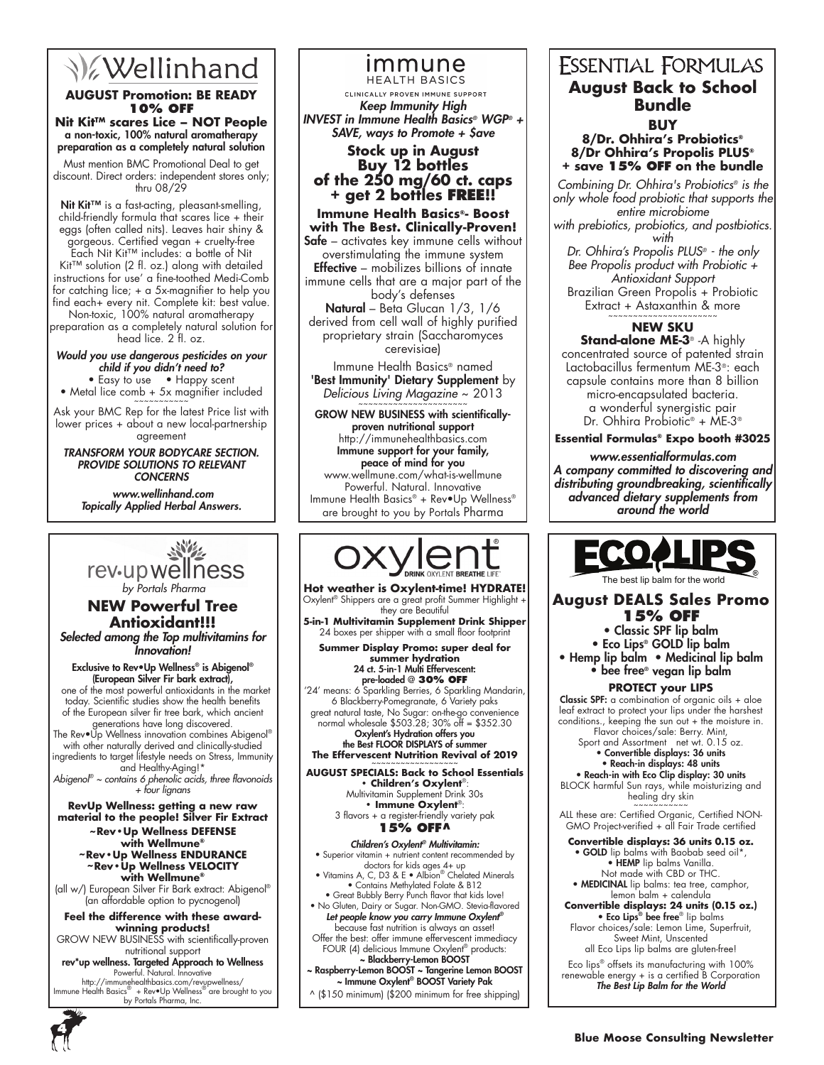# **V**ellinhand

## **AUGUST Promotion: BE READY 10% OFF**

**Nit Kit™ scares Lice – NOT People** a non-toxic, 100% natural aromatherapy preparation as a completely natural solution

Must mention BMC Promotional Deal to get discount. Direct orders: independent stores only; thru 08/29

Nit Kit™ is a fast-acting, pleasant-smelling, child-friendly formula that scares lice + their eggs (often called nits). Leaves hair shiny & gorgeous. Certified vegan + cruelty-free

Each Nit Kit™ includes: a bottle of Nit Kit™ solution (2 fl. oz.) along with detailed instructions for use' a fine-toothed Medi-Comb for catching lice; + a 5x-magnifier to help you find each+ every nit. Complete kit: best value.

Non-toxic, 100% natural aromatherapy preparation as a completely natural solution for head lice. 2 fl. oz.

Would you use dangerous pesticides on your child if you didn't need to? • Easy to use • Happy scent

• Metal lice comb  $+$  5x magnifier included

Ask your BMC Rep for the latest Price list with lower prices + about a new local-partnership agreement

TRANSFORM YOUR BODYCARE SECTION. PROVIDE SOLUTIONS TO RELEVANT **CONCERNS** 

 www.wellinhand.com Topically Applied Herbal Answers.



## **NEW Powerful Tree Antioxidant!!!** Selected among the Top multivitamins for Innovation!

Exclusive to Rev•Up Wellness® is Abigenol® (European Silver Fir bark extract), one of the most powerful antioxidants in the market today. Scientific studies show the health benefits of the European silver fir tree bark, which ancient generations have long discovered.

The Rev●Ŭp Wellness innovation combines Abigenol® with other naturally derived and clinically-studied ingredients to target lifestyle needs on Stress, Immunity and Healthy-Aging!\*

*Abigenol® ~ contains 6 phenolic acids, three flavonoids + four lignans*

**RevUp Wellness: getting a new raw material to the people! Silver Fir Extract**

**~Rev•Up Wellness DEFENSE with Wellmune® ~Rev•Up Wellness ENDURANCE ~Rev•Up Wellness VELOCITY with Wellmune®**

(all w/) European Silver Fir Bark extract: Abigenol® (an affordable option to pycnogenol)

**Feel the difference with these awardwinning products!** GROW NEW BUSINESS with scientifically-proven

nutritional support rev\*up wellness. Targeted Approach to Wellness Powerful. Natural. Innovative

http://immunehealthbasics.com/revupwellness/ Immune Health Basics® + Rev•Up Wellness® are brought to you by Portals Pharma, Inc.

## immune **HEALTH BASICS**

CLINICALLY PROVEN IMMUNE SUPPORT

Keep Immunity High INVEST in Immune Health Basics*®* WGP*® +*  SAVE, ways to Promote  $+$  \$ave

## **Stock up in August Buy 12 bottles of the 250 mg/60 ct. caps + get 2 bottles free!!**

**Immune Health Basics®- Boost with The Best. Clinically-Proven! Safe** – activates key immune cells without overstimulating the immune system **Effective** – mobilizes billions of innate immune cells that are a major part of the body's defenses Natural – Beta Glucan 1/3, 1/6 derived from cell wall of highly purified

proprietary strain (Saccharomyces cerevisiae)

Immune Health Basics® named 'Best Immunity' Dietary Supplement by *Delicious Living Magazine* ~ 2013

GROW NEW BUSINESS with scientificallyproven nutritional support http://immunehealthbasics.com Immune support for your family, peace of mind for you www.wellmune.com/what-is-wellmune Powerful. Natural. Innovative Immune Health Basics® + Rev•Up Wellness® are brought to you by Portals Pharma



**Hot weather is Oxylent-time! HYDRATE!** Oxylent® Shippers are a great profit Summer Highlight + they are Beautiful **5-in-1 Multivitamin Supplement Drink Shipper**

24 boxes per shipper with a small floor footprint **Summer Display Promo: super deal for** 

**summer hydration**  24 ct. 5-in-1 Multi Effervescent: pre-loaded @ **30% off**

'24' means: 6 Sparkling Berries, 6 Sparkling Mandarin, 6 Blackberry-Pomegranate, 6 Variety paks great natural taste, No Sugar: on-the-go convenience normal wholesale \$503.28; 30% off = \$352.30 Oxylent's Hydration offers you the Best FLOOR DISPLAYS of summe

**The Effervescent Nutrition Revival of 2019** 

**AUGUST SPECIALS: Back to School Essentials • Children's Oxylent**®: Multivitamin Supplement Drink 30s **• Immune Oxylent**®:

3 flavors + a register-friendly variety pak **15% OFF^**

## Children's Oxylent*®* Multivitamin:

• Superior vitamin + nutrient content recommended by

doctors for kids ages 4+ up • Vitamins A, C, D3 & E • Albion® Chelated Minerals • Contains Methylated Folate & B12 • Great Bubbly Berry Punch flavor that kids love!

• No Gluten, Dairy or Sugar. Non-GMO. Stevia-flavored Let people know you carry Immune Oxylent*®* because fast nutrition is always an asset!

Offer the best: offer immune effervescent immediacy FOUR (4) delicious Immune Oxylent® products: ~ Blackberry-Lemon BOOST

~ Raspberry-Lemon BOOST ~ Tangerine Lemon BOOST ~ Immune Oxylent® BOOST Variety Pak

^ (\$150 minimum) (\$200 minimum for free shipping)

## **ESSENTIAL FORMULAS August Back to School Bundle BUY**

**8/Dr. Ohhira's Probiotics® 8/Dr Ohhira's Propolis PLUS® + save 15% OFF on the bundle**

*Combining Dr. Ohhira's Probiotics® is the only whole food probiotic that supports the entire microbiome* 

*with prebiotics, probiotics, and postbiotics. with*

*Dr. Ohhira's Propolis PLUS® - the only Bee Propolis product with Probiotic + Antioxidant Support* Brazilian Green Propolis + Probiotic

Extract + Astaxanthin & more

## **NEW SKU**

**Stand-alone ME-3**® -A highly concentrated source of patented strain Lactobacillus fermentum ME-3®: each capsule contains more than 8 billion micro-encapsulated bacteria. a wonderful synergistic pair Dr. Ohhira Probiotic® + ME-3®

**Essential Formulas® Expo booth #3025**

www.essentialformulas.com A company committed to discovering and distributing groundbreaking, scientifically advanced dietary supplements from *around the world*



**August DEALS Sales Promo 15% OFF**

• Classic SPF lip balm

• Eco Lips<sup>®</sup> GOLD lip balm • Hemp lip balm • Medicinal lip balm

• bee free® vegan lip balm

**PROTECT your LIPS**

**Classic SPF:** a combination of organic oils  $+$  aloe leaf extract to protect your lips under the harshest conditions., keeping the sun out + the moisture in. Flavor choices/sale: Berry. Mint,

Sport and Assortment net wt. 0.15 oz. • Convertible displays: 36 units • Reach-in displays: 48 units

• Reach-in with Eco Clip display: 30 units BLOCK harmful Sun rays, while moisturizing and healing dry skin

~~~~~~~~~~~ ALL these are: Certified Organic, Certified NON-GMO Project-verified + all Fair Trade certified

**Convertible displays: 36 units 0.15 oz.**  • GOLD lip balms with Baobab seed oil\*, • HEMP lip balms Vanilla. Not made with CBD or THC. • MEDICINAL lip balms: tea tree, camphor,

lemon balm + calendula

**Convertible displays: 24 units (0.15 oz.)** • Eco Lips® bee free® lip balms Flavor choices/sale: Lemon Lime, Superfruit,

Sweet Mint, Unscented all Eco Lips lip balms are gluten-free!

Eco lips® offsets its manufacturing with 100% renewable energy + is a certified B Corporation The Best Lip Balm for the World

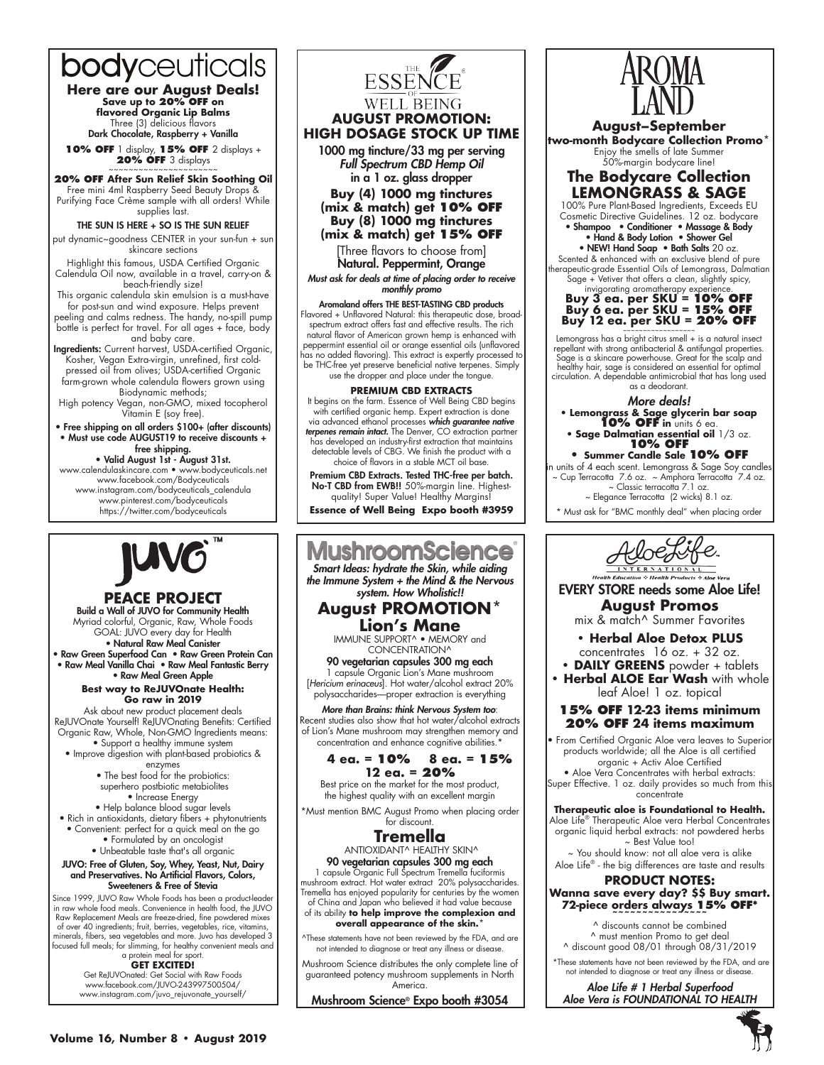# bodyceuticals

**Here are our August Deals! Save up to 20% off on flavored Organic Lip Balms** Three (3) delicious flavors Dark Chocolate, Raspberry + Vanilla

**10% off** 1 display, **15% off** 2 displays + **20% OFF** 3 displays

**20% off After Sun Relief Skin Soothing Oil** Free mini 4ml Raspberry Seed Beauty Drops & Purifying Face Crème sample with all orders! While supplies last.

#### THE SUN IS HERE + SO IS THE SUN RELIEF

put dynamic~goodness CENTER in your sun-fun + sun skincare sections

Highlight this famous, USDA Certified Organic Calendula Oil now, available in a travel, carry-on & beach-friendly size!

This organic calendula skin emulsion is a must-have for post-sun and wind exposure. Helps prevent

peeling and calms redness. The handy, no-spill pump bottle is perfect for travel. For all ages + face, body and baby care.

Ingredients: Current harvest, USDA-certified Organic, Kosher, Vegan Extra-virgin, unrefined, first coldpressed oil from olives; USDA-certified Organic farm-grown whole calendula flowers grown using Biodynamic methods;

High potency Vegan, non-GMO, mixed tocopherol Vitamin E (soy free).

• Free shipping on all orders \$100+ (after discounts) • Must use code AUGUST19 to receive discounts + free shipping.

• Valid August 1st - August 31st. www.calendulaskincare.com • www.bodyceuticals.net www.facebook.com/Bodyceuticals www.instagram.com/bodyceuticals\_calendula www.pinterest.com/bodyceuticals https://twitter.com/bodyceuticals



#### **PEACE Project** Build a Wall of JUVO for Community Health

Myriad colorful, Organic, Raw, Whole Foods GOAL: JUVO every day for Health • Natural Raw Meal Canister • Raw Green Superfood Can • Raw Green Protein Can

• Raw Meal Vanilla Chai • Raw Meal Fantastic Berry • Raw Meal Green Apple

> **Best way to ReJUVOnate Health: Go raw in 2019**

Ask about new product placement deals ReJUVOnate Yourself! ReJUVOnating Benefits: Certified Organic Raw, Whole, Non-GMO Ingredients means: • Support a healthy immune system

• Improve digestion with plant-based probiotics & enzymes

- The best food for the probiotics:
- superhero postbiotic metabiolites • Increase Energy

• Help balance blood sugar levels

- Rich in antioxidants, dietary fibers + phytonutrients • Convenient: perfect for a quick meal on the go • Formulated by an oncologist
	- Unbeatable taste that's all organic

#### JUVO: Free of Gluten, Soy, Whey, Yeast, Nut, Dairy and Preservatives. No Artificial Flavors, Colors, Sweeteners & Free of Stevia

Since 1999, JUVO Raw Whole Foods has been a product-leader in raw whole food meals. Convenience in health food, the JUVO Raw Replacement Meals are freeze-dried, fine powdered mixes of over 40 ingredients; fruit, berries, vegetables, rice, vitamins, minerals, fibers, sea vegetables and more. Juvo has developed 3 focused full meals; for slimming, for healthy convenient meals and a protein meal for sport.

**GET EXCITED!**

Get ReJUVOnated: Get Social with Raw Foods www.facebook.com/JUVO-243997500504/ www.instagram.com/juvo\_rejuvonate\_yourself/



## **August Promotion: High dosage Stock up time**

1000 mg tincture/33 mg per serving Full Spectrum CBD Hemp Oil in a 1 oz. glass dropper

**Buy (4) 1000 mg tinctures (mix & match) get 10% OFF Buy (8) 1000 mg tinctures (mix & match) get 15% OFF**

[Three flavors to choose from] Natural. Peppermint, Orange

Must ask for deals at time of placing order to receive monthly promo

## Aromaland offers THE BEST-TASTING CBD products

Flavored + Unflavored Natural: this therapeutic dose, broad-spectrum extract offers fast and effective results. The rich natural flavor of American grown hemp is enhanced with peppermint essential oil or orange essential oils (unflavored has no added flavoring). This extract is expertly processed to be THC-free yet preserve beneficial native terpenes. Simply use the dropper and place under the tongue.

#### **PREMIUM CBD EXTRACTS**

It begins on the farm. Essence of Well Being CBD begins with certified organic hemp. Expert extraction is done via advanced ethanol processes *which guarantee native*  terpenes remain intact. The Denver, CO extraction partner has developed an industry-first extraction that maintains detectable levels of CBG. We finish the product with a choice of flavors in a stable MCT oil base

Premium CBD Extracts. Tested THC-free per batch. No-T CBD from EWB!! 50%-margin line. Highestquality! Super Value! Healthy Margins!

**Essence of Well Being Expo booth #3959**

## **MushroomScience** Smart Ideas: hydrate the Skin, while aiding

the Immune System + the Mind & the Nervous system. How Wholistic!!

## **August PROMOTION\* Lion's Mane**

IMMUNE SUPPORT^ • MEMORY and CONCENTRATION^

90 vegetarian capsules 300 mg each 1 capsule Organic Lion's Mane mushroom [*Hericium erinaceus*]. Hot water/alcohol extract 20% polysaccharides—proper extraction is everything

More than Brains: think Nervous System too: Recent studies also show that hot water/alcohol extracts of Lion's Mane mushroom may strengthen memory and concentration and enhance cognitive abilities.\*

#### **4 ea. = 10% 8 ea. = 15% 12 ea. = 20%**

Best price on the market for the most product, the highest quality with an excellent margin

\*Must mention BMC August Promo when placing order for discount.

## **Tremella** ANTIOXIDANT^ HEALTHY SKIN^

90 vegetarian capsules 300 mg each

1 capsule Organic Full Spectrum Tremella fuciformis mushroom extract. Hot water extract 20% polysaccharides. Tremella has enjoyed popularity for centuries by the women of China and Japan who believed it had value because

of its ability **to help improve the complexion and overall appearance of the skin.\***

^These statements have not been reviewed by the FDA, and are not intended to diagnose or treat any illness or disease.

Mushroom Science distributes the only complete line of guaranteed potency mushroom supplements in North America.

Mushroom Science® Expo booth #3054



**August–September two-month Bodycare Collection Promo\*** Enjoy the smells of late Summer 50%-margin bodycare line!



100% Pure Plant-Based Ingredients, Exceeds EU Cosmetic Directive Guidelines. 12 oz. bodycare • Shampoo • Conditioner • Massage & Body

- Hand & Body Lotion Shower Gel • NEW! Hand Soap • Bath Salts 20 oz.
- Scented & enhanced with an exclusive blend of pure therapeutic-grade Essential Oils of Lemongrass, Dalmatian Sage + Vetiver that offers a clean, slightly spicy,

# invigorating aromatherapy experience.<br>**Buy 3 ea. per SKU = <b>10% O**<br>**Buy 6 ea. per SKU = 15% O Buy 12 ea. per SKU = 20% O**

Lemongrass has a bright citrus smell + is a natural insect repellant with strong antibacterial & antifungal properties. Sage is a skincare powerhouse. Great for the scalp and healthy hair, sage is considered an essential for optimal circulation. A dependable antimicrobial that has long used as a deodorant.

More deals! • **Lemongrass & Sage glycerin bar soap 10% OFF in** units 6 ea.

• **Sage Dalmatian essential oil** 1/3 oz. **10% OFF • Summer Candle Sale 10% OFF** in units of 4 each scent. Lemongrass & Sage Soy candles

~ Cup Terracotta 7.6 oz. ~ Amphora Terracotta 7.4 oz. ~ Classic terracotta 7.1 oz.

~ Elegance Terracotta (2 wicks) 8.1 oz.

\* Must ask for "BMC monthly deal" when placing order



EVERY STORE needs some Aloe Life! **August Promos**

mix & match^ Summer Favorites

## **• Herbal Aloe Detox PLUS**

concentrates 16 oz. + 32 oz. **• DAILY GREENS** powder + tablets

**• Herbal ALOE Ear Wash** with whole leaf Aloe! 1 oz. topical

## **15% OFF 12-23 items minimum 20% OFF 24 items maximum**

From Certified Organic Aloe vera leaves to Superior products worldwide; all the Aloe is all certified organic + Activ Aloe Certified

• Aloe Vera Concentrates with herbal extracts: Super Effective. 1 oz. daily provides so much from this concentrate

#### **Therapeutic aloe is Foundational to Health.**

Aloe Life® Therapeutic Aloe vera Herbal Concentrates organic liquid herbal extracts: not powdered herbs ~ Best Value too!

~ You should know: not all aloe vera is alike Aloe Life® - the big differences are taste and results

### **PRODUCT NOTES: Wanna save every day? \$\$ Buy smart. 72-piece orders always 15% OFF\***

**~~~~~~~~~~~~~~~~** ^ discounts cannot be combined ^ must mention Promo to get deal ^ discount good 08/01 through 08/31/2019

 \*These statements have not been reviewed by the FDA, and are not intended to diagnose or treat any illness or disease

Aloe Life # 1 Herbal Superfood Aloe Vera is FOUNDATIONAL TO HEALTH

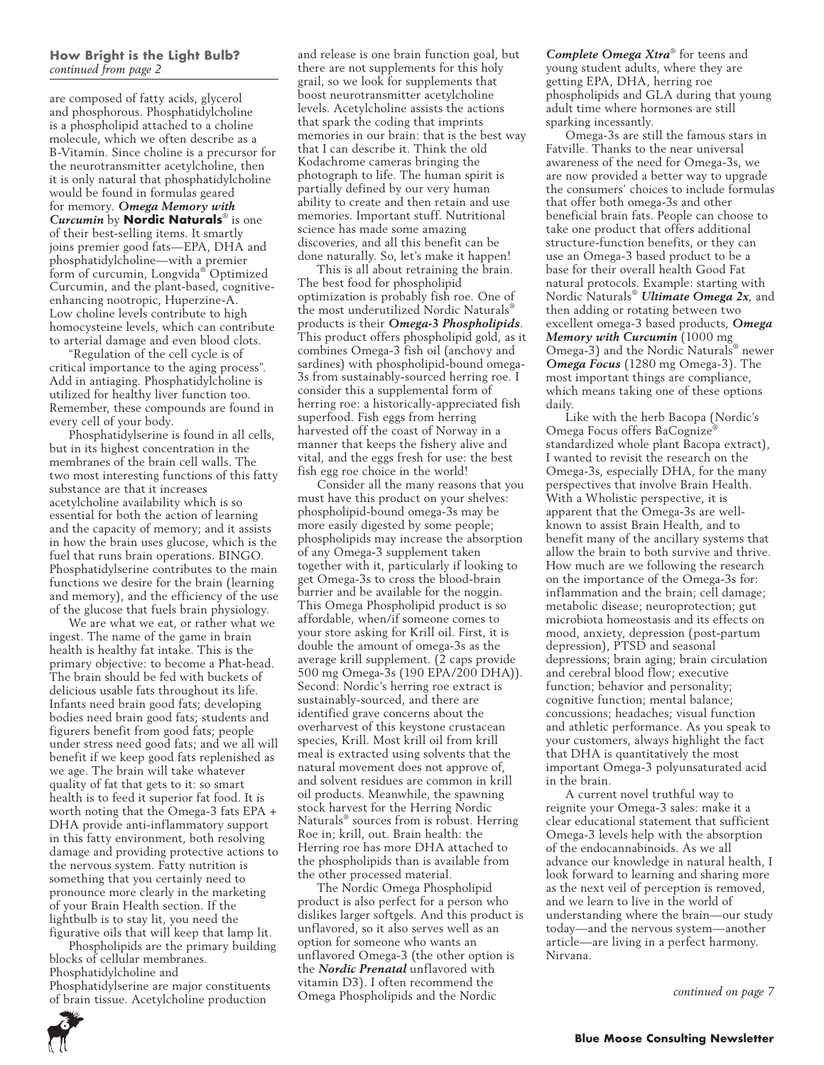#### **How Bright is the Light Bulb?**  *continued from page 2*

are composed of fatty acids, glycerol and phosphorous. Phosphatidylcholine is a phospholipid attached to a choline molecule, which we often describe as a B-Vitamin. Since choline is a precursor for the neurotransmitter acetylcholine, then it is only natural that phosphatidylcholine would be found in formulas geared for memory. *Omega Memory with Curcumin* by **Nordic Naturals**® is one of their best-selling items. It smartly joins premier good fats—EPA, DHA and phosphatidylcholine—with a premier form of curcumin, Longvida® Optimized Curcumin, and the plant-based, cognitiveenhancing nootropic, Huperzine-A. Low choline levels contribute to high homocysteine levels, which can contribute to arterial damage and even blood clots.

"Regulation of the cell cycle is of critical importance to the aging process". Add in antiaging. Phosphatidylcholine is utilized for healthy liver function too. Remember, these compounds are found in every cell of your body.

Phosphatidylserine is found in all cells, but in its highest concentration in the membranes of the brain cell walls. The two most interesting functions of this fatty substance are that it increases acetylcholine availability which is so essential for both the action of learning and the capacity of memory; and it assists in how the brain uses glucose, which is the fuel that runs brain operations. BINGO. Phosphatidylserine contributes to the main functions we desire for the brain (learning and memory), and the efficiency of the use of the glucose that fuels brain physiology.

We are what we eat, or rather what we ingest. The name of the game in brain health is healthy fat intake. This is the primary objective: to become a Phat-head. The brain should be fed with buckets of delicious usable fats throughout its life. Infants need brain good fats; developing bodies need brain good fats; students and figurers benefit from good fats; people under stress need good fats; and we all will benefit if we keep good fats replenished as we age. The brain will take whatever quality of fat that gets to it: so smart health is to feed it superior fat food. It is worth noting that the Omega-3 fats EPA + DHA provide anti-inflammatory support in this fatty environment, both resolving damage and providing protective actions to the nervous system. Fatty nutrition is something that you certainly need to pronounce more clearly in the marketing of your Brain Health section. If the lightbulb is to stay lit, you need the figurative oils that will keep that lamp lit.

Phospholipids are the primary building blocks of cellular membranes. Phosphatidylcholine and Phosphatidylserine are major constituents of brain tissue. Acetylcholine production

and release is one brain function goal, but there are not supplements for this holy grail, so we look for supplements that boost neurotransmitter acetylcholine levels. Acetylcholine assists the actions that spark the coding that imprints memories in our brain: that is the best way that I can describe it. Think the old Kodachrome cameras bringing the photograph to life. The human spirit is partially defined by our very human ability to create and then retain and use memories. Important stuff. Nutritional science has made some amazing discoveries, and all this benefit can be done naturally. So, let's make it happen!

This is all about retraining the brain. The best food for phospholipid optimization is probably fish roe. One of the most underutilized Nordic Naturals® products is their *Omega-3 Phospholipids*. This product offers phospholipid gold, as it combines Omega-3 fish oil (anchovy and sardines) with phospholipid-bound omega-3s from sustainably-sourced herring roe. I consider this a supplemental form of herring roe: a historically-appreciated fish superfood. Fish eggs from herring harvested off the coast of Norway in a manner that keeps the fishery alive and vital, and the eggs fresh for use: the best fish egg roe choice in the world!

Consider all the many reasons that you must have this product on your shelves: phospholipid-bound omega-3s may be more easily digested by some people; phospholipids may increase the absorption of any Omega-3 supplement taken together with it, particularly if looking to get Omega-3s to cross the blood-brain barrier and be available for the noggin. This Omega Phospholipid product is so affordable, when/if someone comes to your store asking for Krill oil. First, it is double the amount of omega-3s as the average krill supplement. (2 caps provide 500 mg Omega-3s (190 EPA/200 DHA)). Second: Nordic's herring roe extract is sustainably-sourced, and there are identified grave concerns about the overharvest of this keystone crustacean species, Krill. Most krill oil from krill meal is extracted using solvents that the natural movement does not approve of, and solvent residues are common in krill oil products. Meanwhile, the spawning stock harvest for the Herring Nordic Naturals® sources from is robust. Herring Roe in; krill, out. Brain health: the Herring roe has more DHA attached to the phospholipids than is available from the other processed material.

The Nordic Omega Phospholipid product is also perfect for a person who dislikes larger softgels. And this product is unflavored, so it also serves well as an option for someone who wants an unflavored Omega-3 (the other option is the *Nordic Prenatal* unflavored with vitamin D3). I often recommend the Omega Phospholipids and the Nordic

*Complete Omega Xtra*® for teens and young student adults, where they are getting EPA, DHA, herring roe phospholipids and GLA during that young adult time where hormones are still sparking incessantly.

Omega-3s are still the famous stars in Fatville. Thanks to the near universal awareness of the need for Omega-3s, we are now provided a better way to upgrade the consumers' choices to include formulas that offer both omega-3s and other beneficial brain fats. People can choose to take one product that offers additional structure-function benefits, or they can use an Omega-3 based product to be a base for their overall health Good Fat natural protocols. Example: starting with Nordic Naturals® *Ultimate Omega 2x*, and then adding or rotating between two excellent omega-3 based products, *Omega Memory with Curcumin* (1000 mg Omega-3) and the Nordic Naturals® newer *Omega Focus* (1280 mg Omega-3). The most important things are compliance, which means taking one of these options daily.

Like with the herb Bacopa (Nordic's Omega Focus offers BaCognize<sup>®</sup> standardized whole plant Bacopa extract), I wanted to revisit the research on the Omega-3s, especially DHA, for the many perspectives that involve Brain Health. With a Wholistic perspective, it is apparent that the Omega-3s are wellknown to assist Brain Health, and to benefit many of the ancillary systems that allow the brain to both survive and thrive. How much are we following the research on the importance of the Omega-3s for: inflammation and the brain; cell damage; metabolic disease; neuroprotection; gut microbiota homeostasis and its effects on mood, anxiety, depression (post-partum depression), PTSD and seasonal depressions; brain aging; brain circulation and cerebral blood flow; executive function; behavior and personality; cognitive function; mental balance; concussions; headaches; visual function and athletic performance. As you speak to your customers, always highlight the fact that DHA is quantitatively the most important Omega-3 polyunsaturated acid in the brain.

A current novel truthful way to reignite your Omega-3 sales: make it a clear educational statement that sufficient Omega-3 levels help with the absorption of the endocannabinoids. As we all advance our knowledge in natural health, I look forward to learning and sharing more as the next veil of perception is removed, and we learn to live in the world of understanding where the brain—our study today—and the nervous system—another article—are living in a perfect harmony. Nirvana.

*continued on page 7*

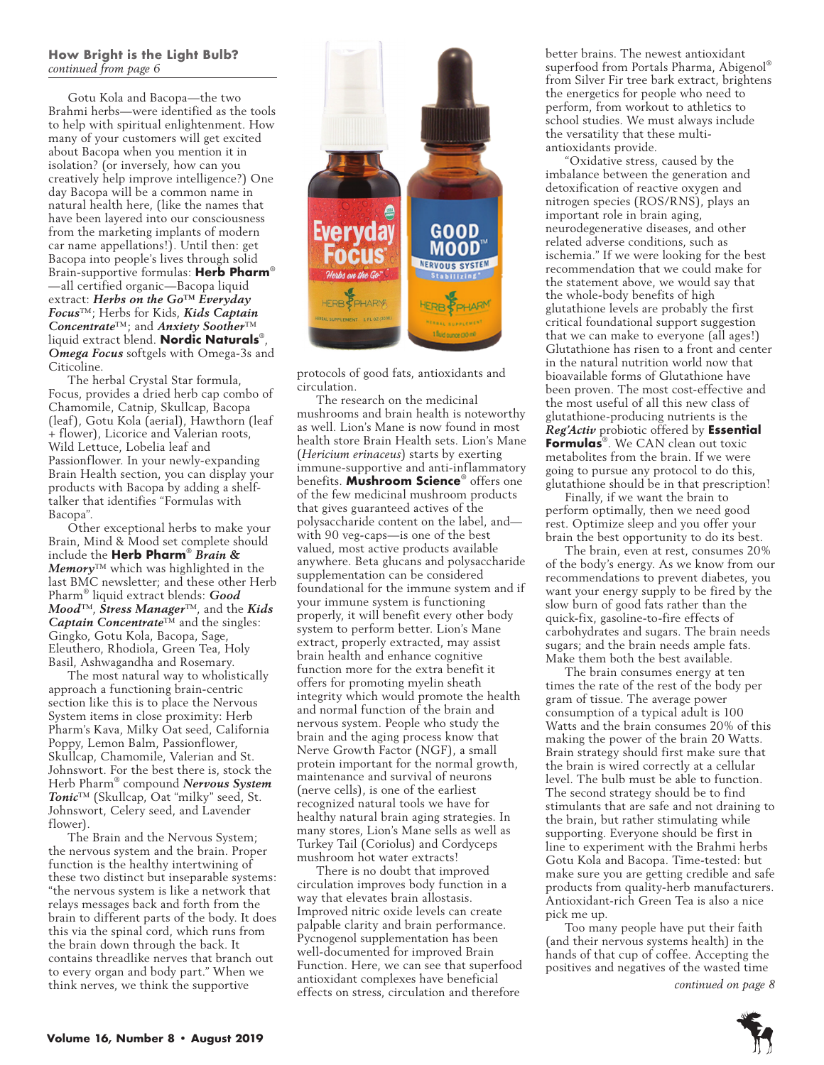## **How Bright is the Light Bulb?**  *continued from page 6*

Gotu Kola and Bacopa—the two Brahmi herbs—were identified as the tools to help with spiritual enlightenment. How many of your customers will get excited about Bacopa when you mention it in isolation? (or inversely, how can you creatively help improve intelligence?) One day Bacopa will be a common name in natural health here, (like the names that have been layered into our consciousness from the marketing implants of modern car name appellations!). Until then: get Bacopa into people's lives through solid Brain-supportive formulas: **Herb Pharm**® —all certified organic—Bacopa liquid extract: *Herbs on the Go™ Everyday Focus*™; Herbs for Kids, *Kids Captain Concentrate*™; and *Anxiety Soother*™ liquid extract blend. **Nordic Naturals**®, *Omega Focus* softgels with Omega-3s and Citicoline.

The herbal Crystal Star formula, Focus, provides a dried herb cap combo of Chamomile, Catnip, Skullcap, Bacopa (leaf), Gotu Kola (aerial), Hawthorn (leaf + flower), Licorice and Valerian roots, Wild Lettuce, Lobelia leaf and Passionflower. In your newly-expanding Brain Health section, you can display your products with Bacopa by adding a shelftalker that identifies "Formulas with Bacopa".

Other exceptional herbs to make your Brain, Mind & Mood set complete should include the **Herb Pharm**® *Brain & Memory*™ which was highlighted in the last BMC newsletter; and these other Herb Pharm® liquid extract blends: *Good Mood*™, *Stress Manager*™, and the *Kids Captain Concentrate*™ and the singles: Gingko, Gotu Kola, Bacopa, Sage, Eleuthero, Rhodiola, Green Tea, Holy Basil, Ashwagandha and Rosemary.

The most natural way to wholistically approach a functioning brain-centric section like this is to place the Nervous System items in close proximity: Herb Pharm's Kava, Milky Oat seed, California Poppy, Lemon Balm, Passionflower, Skullcap, Chamomile, Valerian and St. Johnswort. For the best there is, stock the Herb Pharm® compound *Nervous System Tonic*™ (Skullcap, Oat "milky" seed, St. Johnswort, Celery seed, and Lavender flower).

The Brain and the Nervous System; the nervous system and the brain. Proper function is the healthy intertwining of these two distinct but inseparable systems: "the nervous system is like a network that relays messages back and forth from the brain to different parts of the body. It does this via the spinal cord, which runs from the brain down through the back. It contains threadlike nerves that branch out to every organ and body part." When we think nerves, we think the supportive



protocols of good fats, antioxidants and circulation.

The research on the medicinal mushrooms and brain health is noteworthy as well. Lion's Mane is now found in most health store Brain Health sets. Lion's Mane (*Hericium erinaceus*) starts by exerting immune-supportive and anti-inflammatory benefits. **Mushroom Science**® offers one of the few medicinal mushroom products that gives guaranteed actives of the polysaccharide content on the label, and with 90 veg-caps—is one of the best valued, most active products available anywhere. Beta glucans and polysaccharide supplementation can be considered foundational for the immune system and if your immune system is functioning properly, it will benefit every other body system to perform better. Lion's Mane extract, properly extracted, may assist brain health and enhance cognitive function more for the extra benefit it offers for promoting myelin sheath integrity which would promote the health and normal function of the brain and nervous system. People who study the brain and the aging process know that Nerve Growth Factor (NGF), a small protein important for the normal growth, maintenance and survival of neurons (nerve cells), is one of the earliest recognized natural tools we have for healthy natural brain aging strategies. In many stores, Lion's Mane sells as well as Turkey Tail (Coriolus) and Cordyceps mushroom hot water extracts!

There is no doubt that improved circulation improves body function in a way that elevates brain allostasis. Improved nitric oxide levels can create palpable clarity and brain performance. Pycnogenol supplementation has been well-documented for improved Brain Function. Here, we can see that superfood antioxidant complexes have beneficial effects on stress, circulation and therefore

better brains. The newest antioxidant superfood from Portals Pharma, Abigenol® from Silver Fir tree bark extract, brightens the energetics for people who need to perform, from workout to athletics to school studies. We must always include the versatility that these multiantioxidants provide.

"Oxidative stress, caused by the imbalance between the generation and detoxification of reactive oxygen and nitrogen species (ROS/RNS), plays an important role in brain aging, neurodegenerative diseases, and other related adverse conditions, such as ischemia." If we were looking for the best recommendation that we could make for the statement above, we would say that the whole-body benefits of high glutathione levels are probably the first critical foundational support suggestion that we can make to everyone (all ages!) Glutathione has risen to a front and center in the natural nutrition world now that bioavailable forms of Glutathione have been proven. The most cost-effective and the most useful of all this new class of glutathione-producing nutrients is the *Reg'Activ* probiotic offered by **Essential Formulas**®. We CAN clean out toxic metabolites from the brain. If we were going to pursue any protocol to do this, glutathione should be in that prescription!

Finally, if we want the brain to perform optimally, then we need good rest. Optimize sleep and you offer your brain the best opportunity to do its best.

The brain, even at rest, consumes 20% of the body's energy. As we know from our recommendations to prevent diabetes, you want your energy supply to be fired by the slow burn of good fats rather than the quick-fix, gasoline-to-fire effects of carbohydrates and sugars. The brain needs sugars; and the brain needs ample fats. Make them both the best available.

The brain consumes energy at ten times the rate of the rest of the body per gram of tissue. The average power consumption of a typical adult is 100 Watts and the brain consumes 20% of this making the power of the brain 20 Watts. Brain strategy should first make sure that the brain is wired correctly at a cellular level. The bulb must be able to function. The second strategy should be to find stimulants that are safe and not draining to the brain, but rather stimulating while supporting. Everyone should be first in line to experiment with the Brahmi herbs Gotu Kola and Bacopa. Time-tested: but make sure you are getting credible and safe products from quality-herb manufacturers. Antioxidant-rich Green Tea is also a nice pick me up.

Too many people have put their faith (and their nervous systems health) in the hands of that cup of coffee. Accepting the positives and negatives of the wasted time

*continued on page 8*